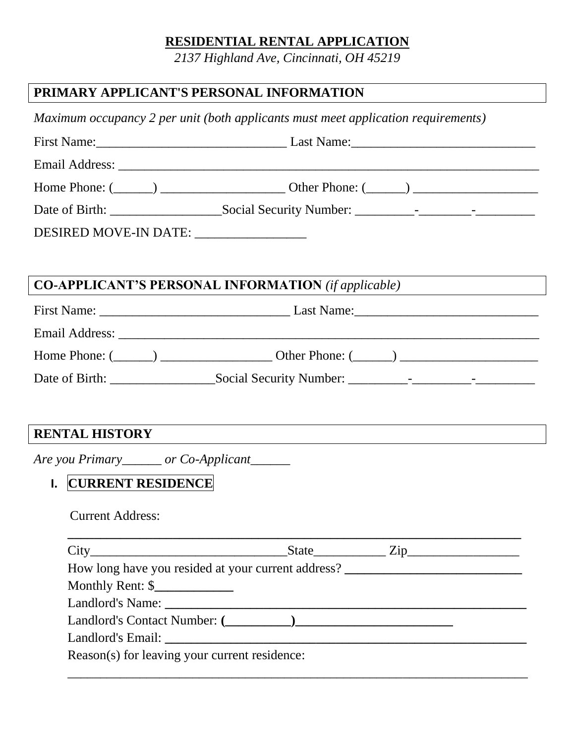## **RESIDENTIAL RENTAL APPLICATION**

*2137 Highland Ave, Cincinnati, OH 45219*

# **PRIMARY APPLICANT'S PERSONAL INFORMATION**

*Maximum occupancy 2 per unit (both applicants must meet application requirements)*

|                                                            | Home Phone: $(\_\_)$ $\_\_$ Other Phone: $(\_\_)$ $\_\_$                         |  |
|------------------------------------------------------------|----------------------------------------------------------------------------------|--|
|                                                            |                                                                                  |  |
| DESIRED MOVE-IN DATE: _________________                    |                                                                                  |  |
|                                                            |                                                                                  |  |
| <b>CO-APPLICANT'S PERSONAL INFORMATION</b> (if applicable) | <u> 1989 - Johann Barbara, martin amerikan personal (</u>                        |  |
|                                                            |                                                                                  |  |
|                                                            |                                                                                  |  |
|                                                            | Home Phone: $(\_\_)$ $\_\_$ Other Phone: $(\_\_)$ $\_\_$                         |  |
|                                                            |                                                                                  |  |
|                                                            |                                                                                  |  |
| <b>RENTAL HISTORY</b>                                      |                                                                                  |  |
| Are you Primary_______ or Co-Applicant______               |                                                                                  |  |
| I. CURRENT RESIDENCE                                       |                                                                                  |  |
|                                                            |                                                                                  |  |
| <b>Current Address:</b>                                    |                                                                                  |  |
| $City_$                                                    | <u>State Zip Zip</u>                                                             |  |
|                                                            | How long have you resided at your current address? _____________________________ |  |
|                                                            |                                                                                  |  |
|                                                            |                                                                                  |  |
|                                                            |                                                                                  |  |
|                                                            |                                                                                  |  |
| Reason(s) for leaving your current residence:              |                                                                                  |  |
|                                                            |                                                                                  |  |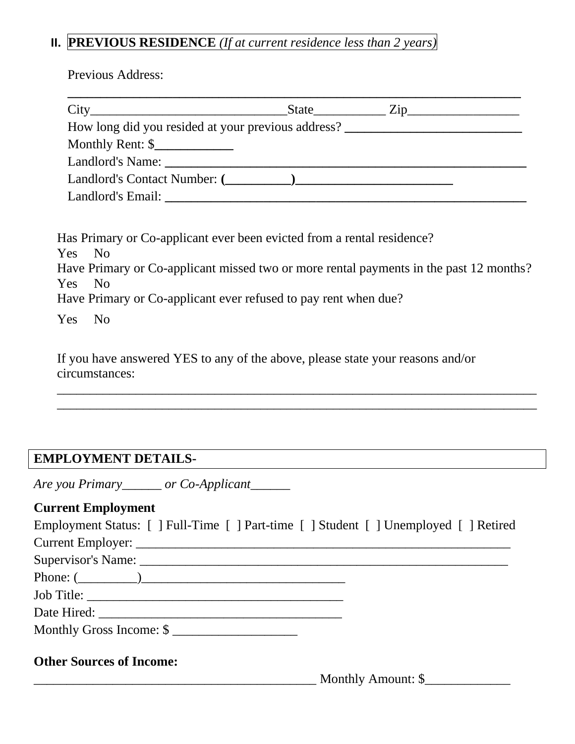## **II. PREVIOUS RESIDENCE** *(If at current residence less than 2 years)*

Previous Address:

|                                                    | $State$ $\qquad \qquad$ | $\mathsf{Zip}\_$ |  |
|----------------------------------------------------|-------------------------|------------------|--|
| How long did you resided at your previous address? |                         |                  |  |
| Monthly Rent: $\frac{\gamma}{\gamma}$              |                         |                  |  |
|                                                    |                         |                  |  |
|                                                    |                         |                  |  |
|                                                    |                         |                  |  |

| Has Primary or Co-applicant ever been evicted from a rental residence?                 |
|----------------------------------------------------------------------------------------|
| Yes No                                                                                 |
| Have Primary or Co-applicant missed two or more rental payments in the past 12 months? |
| Yes No                                                                                 |
| Have Primary or Co-applicant ever refused to pay rent when due?                        |
| Yes<br>- No                                                                            |

\_\_\_\_\_\_\_\_\_\_\_\_\_\_\_\_\_\_\_\_\_\_\_\_\_\_\_\_\_\_\_\_\_\_\_\_\_\_\_\_\_\_\_\_\_\_\_\_\_\_\_\_\_\_\_\_\_\_\_\_\_\_\_\_\_\_\_\_\_\_\_\_\_ \_\_\_\_\_\_\_\_\_\_\_\_\_\_\_\_\_\_\_\_\_\_\_\_\_\_\_\_\_\_\_\_\_\_\_\_\_\_\_\_\_\_\_\_\_\_\_\_\_\_\_\_\_\_\_\_\_\_\_\_\_\_\_\_\_\_\_\_\_\_\_\_\_

If you have answered YES to any of the above, please state your reasons and/or circumstances:

### **EMPLOYMENT DETAILS-**

*Are you Primary\_\_\_\_\_\_ or Co-Applicant\_\_\_\_\_\_*

## **Current Employment**

| Employment Status: [ ] Full-Time [ ] Part-time [ ] Student [ ] Unemployed [ ] Retired |  |
|---------------------------------------------------------------------------------------|--|
|                                                                                       |  |
|                                                                                       |  |
| Phone: $(\_\_)$                                                                       |  |
|                                                                                       |  |
|                                                                                       |  |
| Monthly Gross Income: $\frac{\gamma}{2}$                                              |  |
|                                                                                       |  |

#### **Other Sources of Income:**

\_\_\_\_\_\_\_\_\_\_\_\_\_\_\_\_\_\_\_\_\_\_\_\_\_\_\_\_\_\_\_\_\_\_\_\_\_\_\_\_\_\_\_ Monthly Amount: \$\_\_\_\_\_\_\_\_\_\_\_\_\_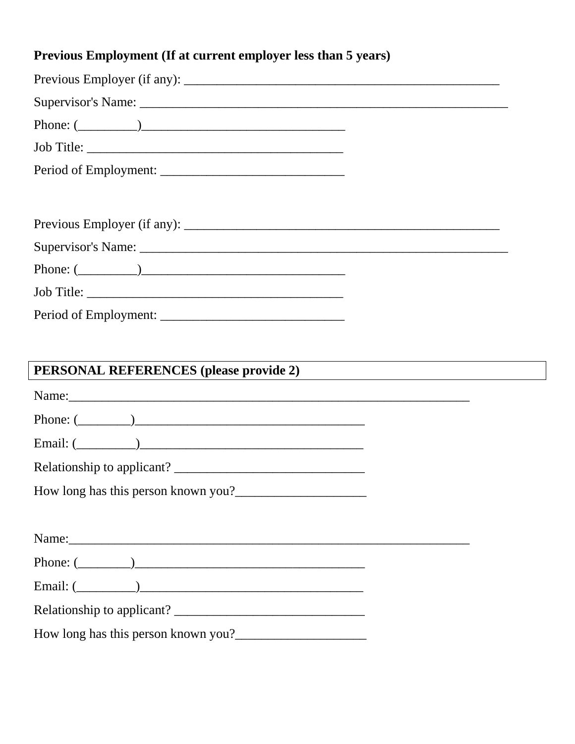# Previous Employment (If at current employer less than 5 years)

| Phone: $(\_\_)$                        |  |
|----------------------------------------|--|
|                                        |  |
|                                        |  |
|                                        |  |
|                                        |  |
|                                        |  |
| Phone: $(\_\_)$                        |  |
|                                        |  |
|                                        |  |
|                                        |  |
|                                        |  |
|                                        |  |
| PERSONAL REFERENCES (please provide 2) |  |
| Phone: $(\_\_)$                        |  |
| Email: $(\_\_)$                        |  |
|                                        |  |
| How long has this person known you?    |  |
|                                        |  |
|                                        |  |
|                                        |  |
|                                        |  |
|                                        |  |

How long has this person known you?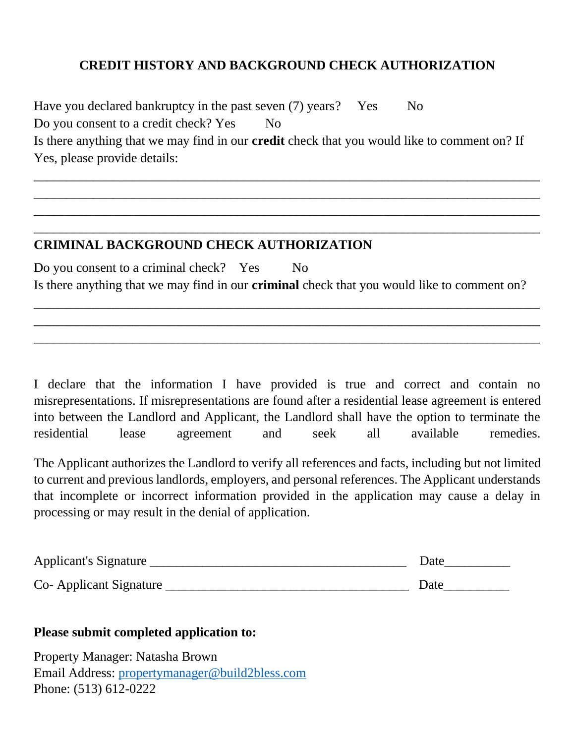## **CREDIT HISTORY AND BACKGROUND CHECK AUTHORIZATION**

Have you declared bankruptcy in the past seven (7) years? Yes No Do you consent to a credit check? Yes No Is there anything that we may find in our **credit** check that you would like to comment on? If Yes, please provide details:

\_\_\_\_\_\_\_\_\_\_\_\_\_\_\_\_\_\_\_\_\_\_\_\_\_\_\_\_\_\_\_\_\_\_\_\_\_\_\_\_\_\_\_\_\_\_\_\_\_\_\_\_\_\_\_\_\_\_\_\_\_\_\_\_\_\_\_\_\_\_\_\_\_\_\_\_\_ \_\_\_\_\_\_\_\_\_\_\_\_\_\_\_\_\_\_\_\_\_\_\_\_\_\_\_\_\_\_\_\_\_\_\_\_\_\_\_\_\_\_\_\_\_\_\_\_\_\_\_\_\_\_\_\_\_\_\_\_\_\_\_\_\_\_\_\_\_\_\_\_\_\_\_\_\_ \_\_\_\_\_\_\_\_\_\_\_\_\_\_\_\_\_\_\_\_\_\_\_\_\_\_\_\_\_\_\_\_\_\_\_\_\_\_\_\_\_\_\_\_\_\_\_\_\_\_\_\_\_\_\_\_\_\_\_\_\_\_\_\_\_\_\_\_\_\_\_\_\_\_\_\_\_ \_\_\_\_\_\_\_\_\_\_\_\_\_\_\_\_\_\_\_\_\_\_\_\_\_\_\_\_\_\_\_\_\_\_\_\_\_\_\_\_\_\_\_\_\_\_\_\_\_\_\_\_\_\_\_\_\_\_\_\_\_\_\_\_\_\_\_\_\_\_\_\_\_\_\_\_\_

#### **CRIMINAL BACKGROUND CHECK AUTHORIZATION**

Do you consent to a criminal check? Yes No Is there anything that we may find in our **criminal** check that you would like to comment on?

\_\_\_\_\_\_\_\_\_\_\_\_\_\_\_\_\_\_\_\_\_\_\_\_\_\_\_\_\_\_\_\_\_\_\_\_\_\_\_\_\_\_\_\_\_\_\_\_\_\_\_\_\_\_\_\_\_\_\_\_\_\_\_\_\_\_\_\_\_\_\_\_\_\_\_\_\_ \_\_\_\_\_\_\_\_\_\_\_\_\_\_\_\_\_\_\_\_\_\_\_\_\_\_\_\_\_\_\_\_\_\_\_\_\_\_\_\_\_\_\_\_\_\_\_\_\_\_\_\_\_\_\_\_\_\_\_\_\_\_\_\_\_\_\_\_\_\_\_\_\_\_\_\_\_ \_\_\_\_\_\_\_\_\_\_\_\_\_\_\_\_\_\_\_\_\_\_\_\_\_\_\_\_\_\_\_\_\_\_\_\_\_\_\_\_\_\_\_\_\_\_\_\_\_\_\_\_\_\_\_\_\_\_\_\_\_\_\_\_\_\_\_\_\_\_\_\_\_\_\_\_\_

I declare that the information I have provided is true and correct and contain no misrepresentations. If misrepresentations are found after a residential lease agreement is entered into between the Landlord and Applicant, the Landlord shall have the option to terminate the residential lease agreement and seek all available remedies.

The Applicant authorizes the Landlord to verify all references and facts, including but not limited to current and previous landlords, employers, and personal references. The Applicant understands that incomplete or incorrect information provided in the application may cause a delay in processing or may result in the denial of application.

| Applicant's Signature  | Date |
|------------------------|------|
| Co-Applicant Signature | Date |

#### **Please submit completed application to:**

Property Manager: Natasha Brown Email Address: [propertymanager@build2bless.com](mailto:propertymanger@build2bless.com) Phone: (513) 612-0222